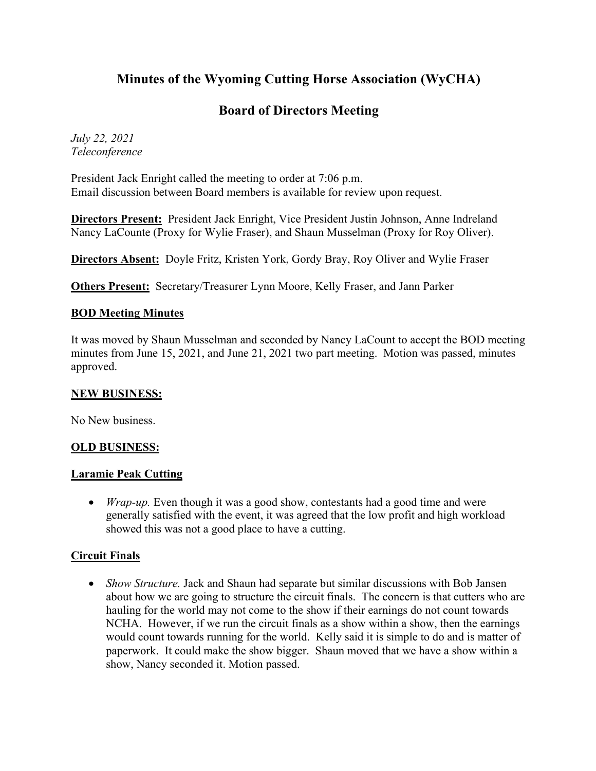# **Minutes of the Wyoming Cutting Horse Association (WyCHA)**

# **Board of Directors Meeting**

*July 22, 2021 Teleconference*

President Jack Enright called the meeting to order at 7:06 p.m. Email discussion between Board members is available for review upon request.

**Directors Present:** President Jack Enright, Vice President Justin Johnson, Anne Indreland Nancy LaCounte (Proxy for Wylie Fraser), and Shaun Musselman (Proxy for Roy Oliver).

**Directors Absent:** Doyle Fritz, Kristen York, Gordy Bray, Roy Oliver and Wylie Fraser

**Others Present:** Secretary/Treasurer Lynn Moore, Kelly Fraser, and Jann Parker

## **BOD Meeting Minutes**

It was moved by Shaun Musselman and seconded by Nancy LaCount to accept the BOD meeting minutes from June 15, 2021, and June 21, 2021 two part meeting. Motion was passed, minutes approved.

#### **NEW BUSINESS:**

No New business.

## **OLD BUSINESS:**

#### **Laramie Peak Cutting**

• *Wrap-up*. Even though it was a good show, contestants had a good time and were generally satisfied with the event, it was agreed that the low profit and high workload showed this was not a good place to have a cutting.

#### **Circuit Finals**

• *Show Structure*. Jack and Shaun had separate but similar discussions with Bob Jansen about how we are going to structure the circuit finals. The concern is that cutters who are hauling for the world may not come to the show if their earnings do not count towards NCHA. However, if we run the circuit finals as a show within a show, then the earnings would count towards running for the world. Kelly said it is simple to do and is matter of paperwork. It could make the show bigger. Shaun moved that we have a show within a show, Nancy seconded it. Motion passed.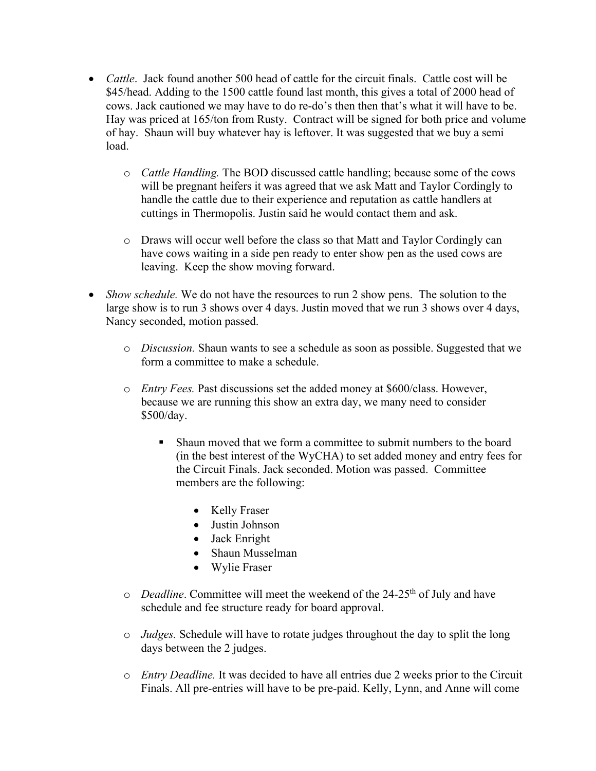- *Cattle*. Jack found another 500 head of cattle for the circuit finals. Cattle cost will be \$45/head. Adding to the 1500 cattle found last month, this gives a total of 2000 head of cows. Jack cautioned we may have to do re-do's then then that's what it will have to be. Hay was priced at 165/ton from Rusty. Contract will be signed for both price and volume of hay. Shaun will buy whatever hay is leftover. It was suggested that we buy a semi load.
	- o *Cattle Handling.* The BOD discussed cattle handling; because some of the cows will be pregnant heifers it was agreed that we ask Matt and Taylor Cordingly to handle the cattle due to their experience and reputation as cattle handlers at cuttings in Thermopolis. Justin said he would contact them and ask.
	- o Draws will occur well before the class so that Matt and Taylor Cordingly can have cows waiting in a side pen ready to enter show pen as the used cows are leaving. Keep the show moving forward.
- *Show schedule.* We do not have the resources to run 2 show pens. The solution to the large show is to run 3 shows over 4 days. Justin moved that we run 3 shows over 4 days, Nancy seconded, motion passed.
	- o *Discussion.* Shaun wants to see a schedule as soon as possible. Suggested that we form a committee to make a schedule.
	- o *Entry Fees.* Past discussions set the added money at \$600/class. However, because we are running this show an extra day, we many need to consider \$500/day.
		- § Shaun moved that we form a committee to submit numbers to the board (in the best interest of the WyCHA) to set added money and entry fees for the Circuit Finals. Jack seconded. Motion was passed. Committee members are the following:
			- Kelly Fraser
			- Justin Johnson
			- Jack Enright
			- Shaun Musselman
			- Wylie Fraser
	- o *Deadline*. Committee will meet the weekend of the 24-25<sup>th</sup> of July and have schedule and fee structure ready for board approval.
	- o *Judges.* Schedule will have to rotate judges throughout the day to split the long days between the 2 judges.
	- o *Entry Deadline.* It was decided to have all entries due 2 weeks prior to the Circuit Finals. All pre-entries will have to be pre-paid. Kelly, Lynn, and Anne will come